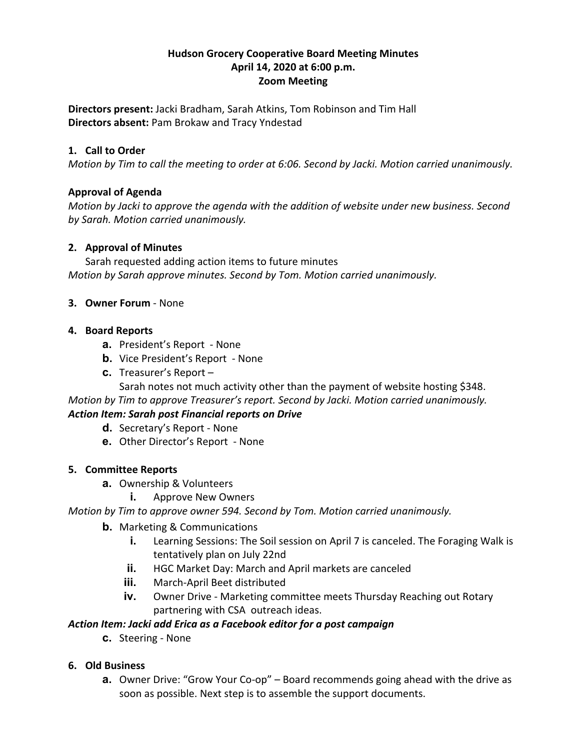## **Hudson Grocery Cooperative Board Meeting Minutes April 14, 2020 at 6:00 p.m. Zoom Meeting**

**Directors present:** Jacki Bradham, Sarah Atkins, Tom Robinson and Tim Hall **Directors absent:** Pam Brokaw and Tracy Yndestad

## **1. Call to Order**

*Motion by Tim to call the meeting to order at 6:06. Second by Jacki. Motion carried unanimously.*

## **Approval of Agenda**

*Motion by Jacki to approve the agenda with the addition of website under new business. Second by Sarah. Motion carried unanimously.*

#### **2. Approval of Minutes**

Sarah requested adding action items to future minutes *Motion by Sarah approve minutes. Second by Tom. Motion carried unanimously.*

#### **3. Owner Forum** - None

#### **4. Board Reports**

- **a.** President's Report None
- **b.** Vice President's Report None
- **c.** Treasurer's Report –

Sarah notes not much activity other than the payment of website hosting \$348. *Motion by Tim to approve Treasurer's report. Second by Jacki. Motion carried unanimously.*

# *Action Item: Sarah post Financial reports on Drive*

- **d.** Secretary's Report None
- **e.** Other Director's Report None

#### **5. Committee Reports**

- **a.** Ownership & Volunteers
	- **i.** Approve New Owners

# *Motion by Tim to approve owner 594. Second by Tom. Motion carried unanimously.*

- **b.** Marketing & Communications
	- **i.** Learning Sessions: The Soil session on April 7 is canceled. The Foraging Walk is tentatively plan on July 22nd
	- **ii.** HGC Market Day: March and April markets are canceled
	- **iii.** March-April Beet distributed
	- **iv.** Owner Drive Marketing committee meets Thursday Reaching out Rotary partnering with CSA outreach ideas.

#### *Action Item: Jacki add Erica as a Facebook editor for a post campaign*

**c.** Steering - None

#### **6. Old Business**

**a.** Owner Drive: "Grow Your Co-op" – Board recommends going ahead with the drive as soon as possible. Next step is to assemble the support documents.